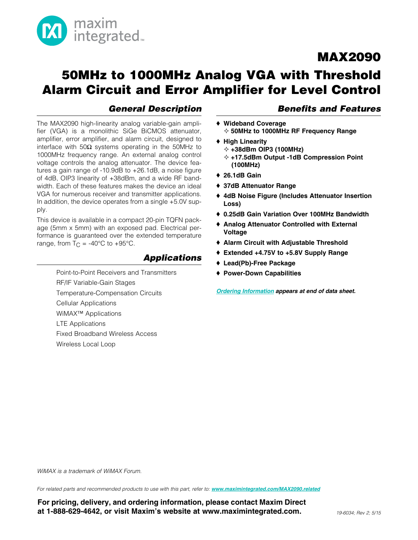

## 50MHz to 1000MHz Analog VGA with Threshold Alarm Circuit and Error Amplifier for Level Control

#### *General Description*

The MAX2090 high-linearity analog variable-gain amplifier (VGA) is a monolithic SiGe BiCMOS attenuator, amplifier, error amplifier, and alarm circuit, designed to interface with 50 $\Omega$  systems operating in the 50MHz to 1000MHz frequency range. An external analog control voltage controls the analog attenuator. The device features a gain range of -10.9dB to +26.1dB, a noise figure of 4dB, OIP3 linearity of +38dBm, and a wide RF bandwidth. Each of these features makes the device an ideal VGA for numerous receiver and transmitter applications. In addition, the device operates from a single +5.0V supply.

This device is available in a compact 20-pin TQFN package (5mm x 5mm) with an exposed pad. Electrical performance is guaranteed over the extended temperature range, from  $T_C = -40^{\circ}C$  to  $+95^{\circ}C$ .

#### *Applications*

Point-to-Point Receivers and Transmitters RF/IF Variable-Gain Stages Temperature-Compensation Circuits Cellular Applications WiMAX™ Applications LTE Applications Fixed Broadband Wireless Access Wireless Local Loop

#### *Benefits and Features*

- ◆ Wideband Coverage  $\diamond$  50MHz to 1000MHz RF Frequency Range
- $\triangleleft$  High Linearity
	- $\div$  +38dBm OIP3 (100MHz)
	- $\diamond$  +17.5dBm Output -1dB Compression Point (100MHz)
- $\triangle$  26.1dB Gain
- ◆ 37dB Attenuator Range
- ♦ 4dB Noise Figure (Includes Attenuator Insertion Loss)
- ◆ 0.25dB Gain Variation Over 100MHz Bandwidth
- ♦ Analog Attenuator Controlled with External Voltage
- ◆ Alarm Circuit with Adjustable Threshold
- $\triangle$  Extended +4.75V to +5.8V Supply Range
- ◆ Lead(Pb)-Free Package
- ♦ Power-Down Capabilities

*[Ordering Information](#page-12-0) appears at end of data sheet.*

*WiMAX is a trademark of WiMAX Forum.*

*For related parts and recommended products to use with this part, refer to: [www.maximintegrated.com/MAX2090.related](http://www.maximintegrated.com/MAX2090.related)*

For pricing, delivery, and ordering information, please contact Maxim Direct at 1-888-629-4642, or visit Maxim's website at www.maximintegrated.com.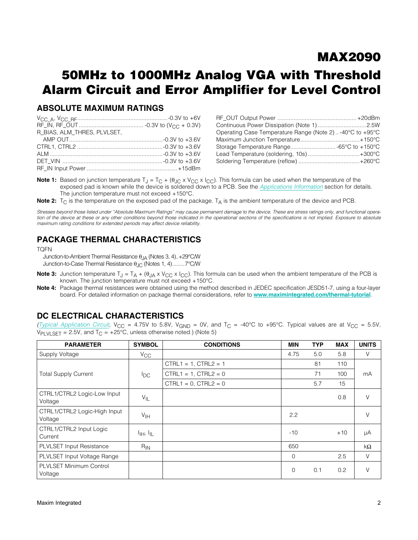## 50MHz to 1000MHz Analog VGA with Threshold Alarm Circuit and Error Amplifier for Level Control

#### ABSOLUTE MAXIMUM RATINGS

| R_BIAS, ALM_THRES, PLVLSET, |  |
|-----------------------------|--|
|                             |  |
|                             |  |
|                             |  |
|                             |  |
|                             |  |

| Operating Case Temperature Range (Note 2)-40°C to +95°C |  |
|---------------------------------------------------------|--|
|                                                         |  |
| Storage Temperature Range -65°C to +150°C               |  |
| Lead Temperature (soldering, 10s)+300°C                 |  |
|                                                         |  |

**Note 1:** Based on junction temperature  $T_J = T_C + (\theta_{JC} \times V_{CC} \times I_{CC})$ . This formula can be used when the temperature of the exposed pad is known while the device is soldered down to a PCB. See the *[Applications Information](#page-10-0)* section for details. The junction temperature must not exceed  $+150^{\circ}$ C.

**Note 2:**  $T_C$  is the temperature on the exposed pad of the package.  $T_A$  is the ambient temperature of the device and PCB.

*Stresses beyond those listed under "Absolute Maximum Ratings" may cause permanent damage to the device. These are stress ratings only, and functional opera*tion of the device at these or any other conditions beyond those indicated in the operational sections of the specifications is not implied. Exposure to absolute *maximum rating conditions for extended periods may affect device reliability.*

#### PACKAGE THERMAL CHARACTERISTICS

#### TQFN

Junction-to-Ambient Thermal Resistance  $\theta_{JA}$  (Notes 3, 4)..+29°C/W Junction-to-Case Thermal Resistance  $\theta_{\text{JC}}$  (Notes 1, 4).........7°C/W

- **Note 3:** Junction temperature  $T_J = T_A + (\theta_{JA} \times V_{CC} \times I_{CC})$ . This formula can be used when the ambient temperature of the PCB is known. The junction temperature must not exceed  $+150^{\circ}$ C.
- Note 4: Package thermal resistances were obtained using the method described in JEDEC specification JESD51-7, using a four-layer board. For detailed information on package thermal considerations, refer to [www.maximintegrated.com/thermal-tutorial](http://www.maximintegrated.com/thermal-tutorial).

#### DC ELECTRICAL CHARACTERISTICS

*([Typical Application Circuit](#page-12-1),*  $V_{CC}$  = 4.75V to 5.8V,  $V_{GND}$  = 0V, and T<sub>C</sub> = -40°C to +95°C. Typical values are at  $V_{CC}$  = 5.5V,  $V_{\text{PLVLSET}} = 2.5V$ , and  $T_{\text{C}} = +25^{\circ}\text{C}$ , unless otherwise noted.) (Note 5)

| <b>PARAMETER</b>                        | <b>SYMBOL</b>                     | <b>CONDITIONS</b>         | MIN         | <b>TYP</b> | <b>MAX</b> | <b>UNITS</b> |
|-----------------------------------------|-----------------------------------|---------------------------|-------------|------------|------------|--------------|
| Supply Voltage                          | $V_{\rm CC}$                      |                           | 4.75        | 5.0        | 5.8        | V            |
|                                         |                                   | $CTRL1 = 1, CTRL2 = 1$    |             | 81         | 110        |              |
| <b>Total Supply Current</b>             | $I_{\text{DC}}$                   | $CTRL1 = 1$ , $CTRL2 = 0$ |             | 71         | 100        | mA           |
|                                         |                                   | $CTRL1 = 0$ , $CTRL2 = 0$ |             | 5.7        | 15         |              |
| CTRL1/CTRL2 Logic-Low Input<br>Voltage  | $V_{IL}$                          |                           |             |            | 0.8        | $\vee$       |
| CTRL1/CTRL2 Logic-High Input<br>Voltage | V <sub>IH</sub>                   |                           | 2.2         |            |            | $\vee$       |
| CTRL1/CTRL2 Input Logic<br>Current      | $I_{\text{IH}}$ , $I_{\text{IL}}$ |                           | $-10$       |            | $+10$      | μA           |
| PLVLSET Input Resistance                | $R_{IN}$                          |                           | 650         |            |            | $k\Omega$    |
| PLVLSET Input Voltage Range             |                                   |                           | $\mathbf 0$ |            | 2.5        | $\vee$       |
| PLVLSET Minimum Control<br>Voltage      |                                   |                           | $\mathbf 0$ | 0.1        | 0.2        | $\vee$       |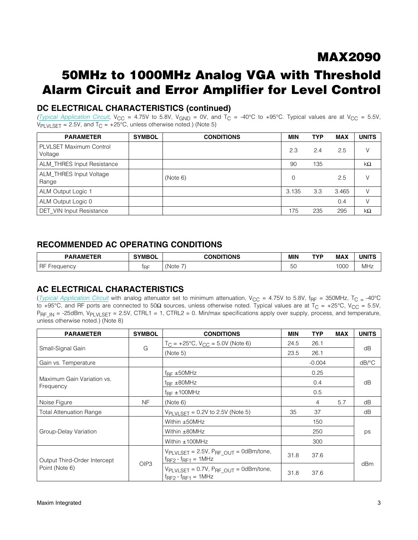## 50MHz to 1000MHz Analog VGA with Threshold Alarm Circuit and Error Amplifier for Level Control

### DC ELECTRICAL CHARACTERISTICS (continued)

*([Typical Application Circuit](#page-12-1),*  $V_{CC}$  = 4.75V to 5.8V,  $V_{GND}$  = 0V, and T<sub>C</sub> = -40°C to +95°C. Typical values are at  $V_{CC}$  = 5.5V,  $V_{\text{PLVLSET}} = 2.5V$ , and  $T_{\text{C}} = +25^{\circ}\text{C}$ , unless otherwise noted.) (Note 5)

| <b>PARAMETER</b>                          | <b>SYMBOL</b> | <b>CONDITIONS</b> | <b>MIN</b> | <b>TYP</b> | <b>MAX</b> | <b>UNITS</b> |
|-------------------------------------------|---------------|-------------------|------------|------------|------------|--------------|
| <b>PLVLSET Maximum Control</b><br>Voltage |               |                   | 2.3        | 2.4        | 2.5        | V            |
| ALM_THRES Input Resistance                |               |                   | 90         | 135        |            | $k\Omega$    |
| ALM_THRES Input Voltage<br>Range          |               | (Note 6)          | $\Omega$   |            | 2.5        | V            |
| ALM Output Logic 1                        |               |                   | 3.135      | 3.3        | 3.465      | V            |
| ALM Output Logic 0                        |               |                   |            |            | 0.4        | V            |
| <b>DET VIN Input Resistance</b>           |               |                   | 175        | 235        | 295        | $k\Omega$    |

#### RECOMMENDED AC OPERATING CONDITIONS

| <b><i><u>AMETEP</u></i></b><br>DAD<br>1 E.H<br><b>AF</b> | SYMB <sup>r</sup> | <b>CONDITIONS</b><br>_____ | <b>MIN</b>          | TVP | <b>MAX</b> | <b>UNITS</b> |
|----------------------------------------------------------|-------------------|----------------------------|---------------------|-----|------------|--------------|
| RF<br>nnn<br>.                                           | l D⊏              | -<br>(Note                 | $\sim$<br>◡<br>$ -$ |     | 1000       | <b>MHz</b>   |

#### AC ELECTRICAL CHARACTERISTICS

(*[Typical Application Circuit](#page-12-1)* with analog attenuator set to minimum attenuation,  $V_{CC} = 4.75V$  to 5.8V,  $f_{RF} = 350$ MHz,  $T_{C} = -40^{\circ}C$ to +95°C, and RF ports are connected to 50 $\Omega$  sources, unless otherwise noted. Typical values are at T<sub>C</sub> = +25°C, V<sub>CC</sub> = 5.5V,  $P_{RF}$ <sub>IN</sub> = -25dBm, V<sub>PLVLSET</sub> = 2.5V, CTRL1 = 1, CTRL2 = 0. Min/max specifications apply over supply, process, and temperature, unless otherwise noted.) (Note 8)

| <b>PARAMETER</b>                        | <b>SYMBOL</b>    | <b>CONDITIONS</b>                                                                                             |              | <b>TYP</b> | <b>MAX</b> | <b>UNITS</b>          |
|-----------------------------------------|------------------|---------------------------------------------------------------------------------------------------------------|--------------|------------|------------|-----------------------|
|                                         |                  | $T_C = +25^{\circ}C$ , $V_{CC} = 5.0V$ (Note 6)                                                               | 24.5         | 26.1       |            |                       |
| Small-Signal Gain                       | G                | (Note 5)                                                                                                      | 23.5         | 26.1       |            | dB                    |
| Gain vs. Temperature                    |                  |                                                                                                               |              | $-0.004$   |            | $dB$ <sup>o</sup> $C$ |
|                                         |                  | $f_{\text{RF}} \pm 50$ MHz                                                                                    |              | 0.25       |            |                       |
| Maximum Gain Variation vs.<br>Frequency |                  | $f_{\text{RF}}$ $\pm$ 80MHz                                                                                   |              | 0.4        |            | dB                    |
|                                         |                  | $f_{RF} \pm 100 MHz$                                                                                          |              | 0.5        |            |                       |
| Noise Figure                            | NF               | (Note 6)                                                                                                      |              | 4          | 5.7        | dB                    |
| <b>Total Attenuation Range</b>          |                  | $V_{\text{PLVLSET}} = 0.2V$ to 2.5V (Note 5)                                                                  | 35           | 37         |            | dB                    |
|                                         |                  | Within ±50MHz                                                                                                 |              | 150        |            |                       |
| Group-Delay Variation                   |                  | Within $\pm$ 80MHz                                                                                            |              | 250        |            | ps                    |
|                                         |                  | Within $±100MHz$                                                                                              |              | 300        |            |                       |
| Output Third-Order Intercept            |                  | $V_{\text{PLVLSET}} = 2.5V$ , $P_{\text{RF OUT}} = 0dBm/tone$ ,<br>$f_{\text{RF2}} - f_{\text{RF1}} = 1$ MHz  | 37.6<br>31.8 |            |            |                       |
| Point (Note 6)                          | OIP <sub>3</sub> | $V_{\text{PLVLSET}} = 0.7V$ , $P_{\text{RF\_OUT}} = 0$ dBm/tone,<br>$f_{\text{RF2}} - f_{\text{RF1}} = 1$ MHz | 31.8         | 37.6       | dBm        |                       |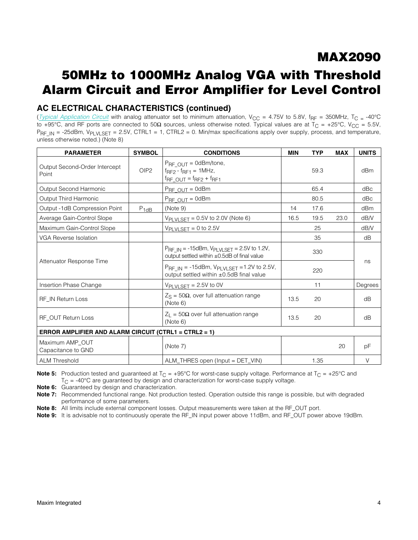## 50MHz to 1000MHz Analog VGA with Threshold Alarm Circuit and Error Amplifier for Level Control

#### AC ELECTRICAL CHARACTERISTICS (continued)

(*[Typical Application Circuit](#page-12-1)* with analog attenuator set to minimum attenuation,  $V_{CC}$  = 4.75V to 5.8V, f<sub>RF</sub> = 350MHz, T<sub>C</sub> = -40°C to +95°C, and RF ports are connected to 50 $\Omega$  sources, unless otherwise noted. Typical values are at T<sub>C</sub> = +25°C, V<sub>CC</sub> = 5.5V,  $P_{RF}$ <sub>IN</sub> = -25dBm, V<sub>PLVLSET</sub> = 2.5V, CTRL1 = 1, CTRL2 = 0. Min/max specifications apply over supply, process, and temperature, unless otherwise noted.) (Note 8)

| <b>PARAMETER</b>                                      | <b>SYMBOL</b> | <b>CONDITIONS</b>                                                                                                 | <b>MIN</b> | <b>TYP</b> | <b>MAX</b> | <b>UNITS</b> |
|-------------------------------------------------------|---------------|-------------------------------------------------------------------------------------------------------------------|------------|------------|------------|--------------|
| Output Second-Order Intercept<br>Point                | OIP2          | $P_{RF\quadOUT} = 0$ dBm/tone,<br>$f_{\text{RF2}} - f_{\text{RF1}} = 1$ MHz,<br>$f_{RF\_OUT} = f_{RF2} + f_{RF1}$ |            | 59.3       |            | dBm          |
| Output Second Harmonic                                |               | $P_{RF\quadOUT} = 0dBm$                                                                                           |            | 65.4       |            | dBc          |
| Output Third Harmonic                                 |               | $PrF$ $OUT = 0dBm$                                                                                                |            | 80.5       |            | dBc          |
| Output -1dB Compression Point                         | $P_{1dB}$     | (Note 9)                                                                                                          | 14         | 17.6       |            | dBm          |
| Average Gain-Control Slope                            |               | $V_{\text{PLVLSET}} = 0.5V$ to 2.0V (Note 6)                                                                      | 16.5       | 19.5       | 23.0       | dB/V         |
| Maximum Gain-Control Slope                            |               | $V_{\text{PLVLSET}} = 0$ to 2.5V                                                                                  |            | 25         |            | dB/V         |
| VGA Reverse Isolation                                 |               |                                                                                                                   |            | 35         |            | dB           |
|                                                       |               | $P_{RF}$ IN = -15dBm, $V_{PLVLSET}$ = 2.5V to 1.2V,<br>output settled within ±0.5dB of final value                |            | 330        |            |              |
| Attenuator Response Time                              |               | $P_{RF}$ IN = -15dBm, $V_{PLVLSET}$ =1.2V to 2.5V,<br>output settled within ±0.5dB final value                    |            | 220        |            | ns           |
| Insertion Phase Change                                |               | $V_{\text{PLVLSET}} = 2.5V$ to 0V                                                                                 |            | 11         |            | Degrees      |
| RF IN Return Loss                                     |               | $Z_{\rm S}$ = 50 $\Omega$ , over full attenuation range<br>(Note 6)                                               | 13.5       | 20         |            | dB           |
| RF OUT Return Loss                                    |               | $Z_L$ = 50 $\Omega$ over full attenuation range<br>(Note 6)                                                       | 13.5       | 20         |            | dB           |
| ERROR AMPLIFIER AND ALARM CIRCUIT (CTRL1 = CTRL2 = 1) |               |                                                                                                                   |            |            |            |              |
| Maximum AMP_OUT<br>Capacitance to GND                 |               | (Note 7)                                                                                                          |            |            | 20         | pF           |
| <b>ALM Threshold</b>                                  |               | ALM_THRES open (Input = DET_VIN)                                                                                  |            | 1.35       |            | $\vee$       |

**Note 5:** Production tested and guaranteed at  $T_C = +95^\circ C$  for worst-case supply voltage. Performance at  $T_C = +25^\circ C$  and  $T_{\text{C}}$  = -40°C are guaranteed by design and characterization for worst-case supply voltage.

Note 6: Guaranteed by design and characterization.

Note 7: Recommended functional range. Not production tested. Operation outside this range is possible, but with degraded performance of some parameters.

Note 8: All limits include external component losses. Output measurements were taken at the RF\_OUT port.

Note 9: It is advisable not to continuously operate the RF\_IN input power above 11dBm, and RF\_OUT power above 19dBm.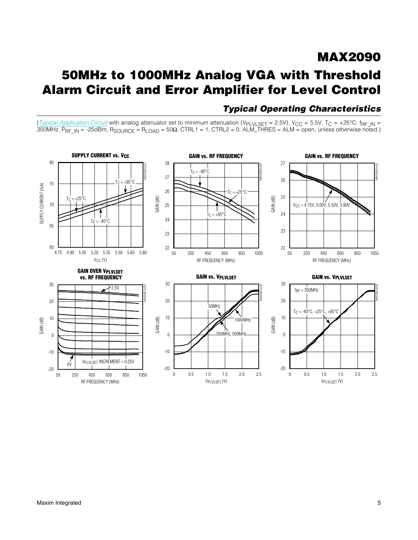## MAX2090 50MHz to 1000MHz Analog VGA with Threshold Alarm Circuit and Error Amplifier for Level Control

#### SUPPLY CURRENT vs. V<sub>CC</sub> GAIN vs. RF FREQUENCY GAIN vs. RF FREQUENCY 80 28 27 MAX2090 toc01 MAX2090 toc02  $T_C = -40^\circ C$ 27 26  $+95^\circ$ 75 SUPPLY CURRENT (mA) SUPPLY CURRENT (mA) 26  $TC = +25^{\circ}C$ GAIN (dB) 25  $Tc = +25^{\circ}C$ GAIN (dB)  $\mathbf{L}$ 70 25 VCC = 4.75V, 5.00V, 5.50V, 5.80V  $T_C = +95^\circ$ 24 24  $T_C = -40^{\circ}C$ 65 23 23 60 22 22 4.90 5.05 5.20 5.35 5.50 5.65 4.75 5.80 50 250 450 650 850 1050 50 250 450 650 850 1050  $V_{CC} (V)$ RF FREQUENCY (MHz) RF FREQUENCY (MHz) GAIN OVER VPLVLSET GAIN vs. VPLVLSET vs. RF FREQUENCY GAIN vs. VPLVLSET 30 30 30  $-2.5V$ MAX2090 toc04 MAX2090 toc05  $f_{RF} = 350$ MHz 20 20 20 50MHz  $TC = -40^{\circ}C, +25^{\circ}C, +95^{\circ}C$ 10 10 10 GAIN (dB) GAIN (dB) 1000MHz GAIN (dB) 350MHz, 500MHz 0  $\boldsymbol{0}$ 0 -10 -10 -10 VPLVLSET INCREMENT = 0.25V  $0<sup>0</sup>$ -20 -20 -20 50 250 450 650 850 1050 0 0.5 1.0 1.5 2.0 2.5 0 0.5 1.0 1.5 2.0 2.5 RF FREQUENCY (MHz) VPLVLSET (V) VPLVLSET (V)

### *Typical Operating Characteristics*

(*[Typical Application Circuit](#page-12-1)* with analog attenuator set to minimum attenuation (V<sub>PLVLSET</sub> = 2.5V), V<sub>CC</sub> = 5.5V, T<sub>C</sub> = +25°C, f<sub>RF\_IN</sub> = 350MHz, P<sub>RF\_IN</sub> = -25dBm, R<sub>SOURCE</sub> = R<sub>LOAD</sub> = 50Ω, CTRL1 = 1, CTRL2 = 0, ALM\_THRES = ALM = open, unless otherwise noted.)

MAX2090 toc03

MAX2090 toc06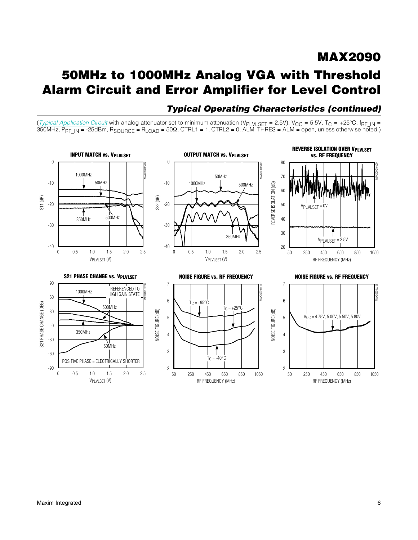## 50MHz to 1000MHz Analog VGA with Threshold Alarm Circuit and Error Amplifier for Level Control

### *Typical Operating Characteristics (continued)*

(*[Typical Application Circuit](#page-12-1)* with analog attenuator set to minimum attenuation (V<sub>PLVLSET</sub> = 2.5V), V<sub>CC</sub> = 5.5V, T<sub>C</sub> = +25°C, f<sub>RF\_IN</sub> = 350MHz, P<sub>RF\_IN</sub> = -25dBm, R<sub>SOURCE</sub> = R<sub>LOAD</sub> = 50Ω, CTRL1 = 1, CTRL2 = 0, ALM\_THRES = ALM = open, unless otherwise noted.)

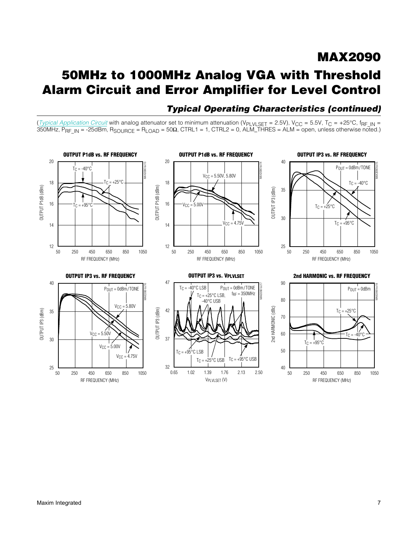# 50MHz to 1000MHz Analog VGA with Threshold Alarm Circuit and Error Amplifier for Level Control

### *Typical Operating Characteristics (continued)*

MAX2090

(*[Typical Application Circuit](#page-12-1)* with analog attenuator set to minimum attenuation (V<sub>PLVLSET</sub> = 2.5V), V<sub>CC</sub> = 5.5V, T<sub>C</sub> = +25°C, f<sub>RF\_IN</sub> = 350MHz, P<sub>RF\_IN</sub> = -25dBm, R<sub>SOURCE</sub> = R<sub>LOAD</sub> = 50Ω, CTRL1 = 1, CTRL2 = 0, ALM\_THRES = ALM = open, unless otherwise noted.)

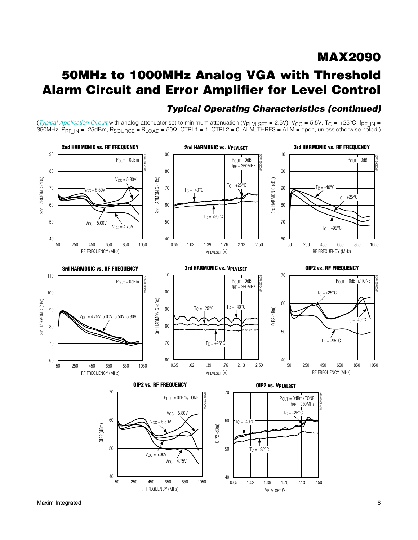## 50MHz to 1000MHz Analog VGA with Threshold Alarm Circuit and Error Amplifier for Level Control



RF FREQUENCY (MHz)

### *Typical Operating Characteristics (continued)*

VPLVLSET (V)

(*[Typical Application Circuit](#page-12-1)* with analog attenuator set to minimum attenuation (V<sub>PLVLSET</sub> = 2.5V), V<sub>CC</sub> = 5.5V, T<sub>C</sub> = +25°C, f<sub>RF\_IN</sub> = 350MHz, P<sub>RF\_IN</sub> = -25dBm, R<sub>SOURCE</sub> = R<sub>LOAD</sub> = 50Ω, CTRL1 = 1, CTRL2 = 0, ALM\_THRES = ALM = open, unless otherwise noted.)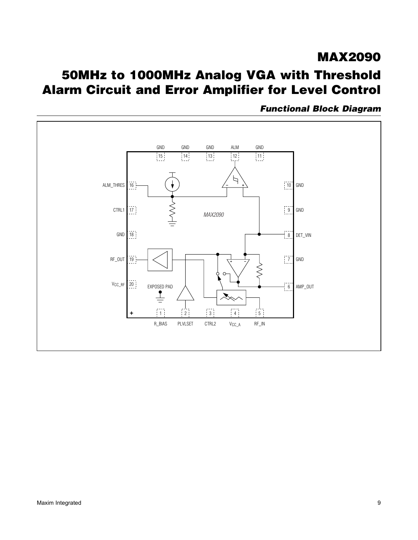# MAX2090 50MHz to 1000MHz Analog VGA with Threshold Alarm Circuit and Error Amplifier for Level Control



*Functional Block Diagram*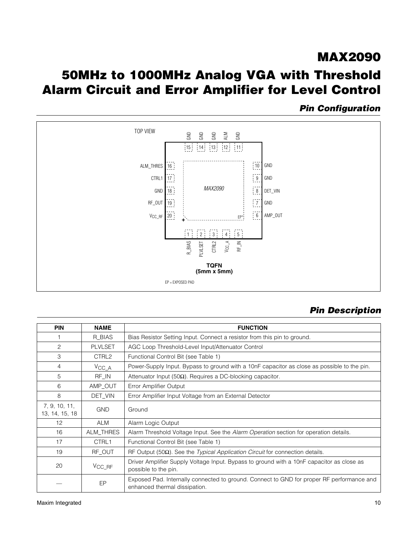## 50MHz to 1000MHz Analog VGA with Threshold Alarm Circuit and Error Amplifier for Level Control

### *Pin Configuration*



### *Pin Description*

| <b>PIN</b>                      | <b>NAME</b>               | <b>FUNCTION</b>                                                                                                            |  |  |  |  |
|---------------------------------|---------------------------|----------------------------------------------------------------------------------------------------------------------------|--|--|--|--|
|                                 | R_BIAS                    | Bias Resistor Setting Input. Connect a resistor from this pin to ground.                                                   |  |  |  |  |
| 2                               | <b>PLVLSET</b>            | AGC Loop Threshold-Level Input/Attenuator Control                                                                          |  |  |  |  |
| 3                               | CTRL2                     | Functional Control Bit (see Table 1)                                                                                       |  |  |  |  |
| 4                               | $V_{\text{CC}\_\text{A}}$ | Power-Supply Input. Bypass to ground with a 10nF capacitor as close as possible to the pin.                                |  |  |  |  |
| 5                               | RF_IN                     | Attenuator Input (50 $\Omega$ ). Requires a DC-blocking capacitor.                                                         |  |  |  |  |
| 6                               | AMP_OUT                   | Error Amplifier Output                                                                                                     |  |  |  |  |
| 8                               | DET VIN                   | Error Amplifier Input Voltage from an External Detector                                                                    |  |  |  |  |
| 7, 9, 10, 11,<br>13, 14, 15, 18 | <b>GND</b>                | Ground                                                                                                                     |  |  |  |  |
| 12                              | <b>ALM</b>                | Alarm Logic Output                                                                                                         |  |  |  |  |
| 16                              | ALM_THRES                 | Alarm Threshold Voltage Input. See the Alarm Operation section for operation details.                                      |  |  |  |  |
| 17                              | CTRL1                     | Functional Control Bit (see Table 1)                                                                                       |  |  |  |  |
| 19                              | RF OUT                    | RF Output (50 $\Omega$ ). See the <i>Typical Application Circuit</i> for connection details.                               |  |  |  |  |
| 20                              | $V_{\text{CC\_RF}}$       | Driver Amplifier Supply Voltage Input. Bypass to ground with a 10nF capacitor as close as<br>possible to the pin.          |  |  |  |  |
|                                 | EP                        | Exposed Pad. Internally connected to ground. Connect to GND for proper RF performance and<br>enhanced thermal dissipation. |  |  |  |  |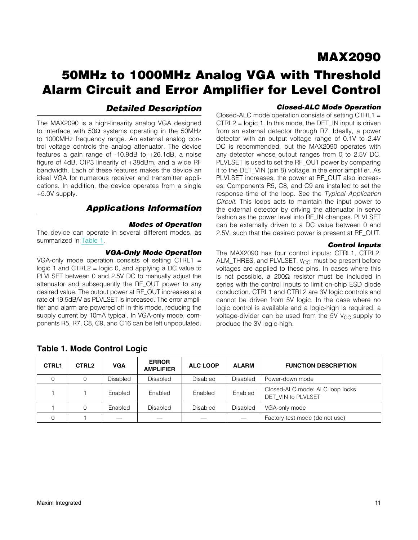## 50MHz to 1000MHz Analog VGA with Threshold Alarm Circuit and Error Amplifier for Level Control

#### *Detailed Description*

The MAX2090 is a high-linearity analog VGA designed to interface with  $50\Omega$  systems operating in the 50MHz to 1000MHz frequency range. An external analog control voltage controls the analog attenuator. The device features a gain range of -10.9dB to +26.1dB, a noise figure of 4dB, OIP3 linearity of +38dBm, and a wide RF bandwidth. Each of these features makes the device an ideal VGA for numerous receiver and transmitter applications. In addition, the device operates from a single +5.0V supply.

#### *Applications Information*

#### <span id="page-10-0"></span>*Modes of Operation*

The device can operate in several different modes, as summarized in [Table 1](#page-10-1).

#### *VGA-Only Mode Operation*

VGA-only mode operation consists of setting CTRL1  $=$ logic 1 and CTRL2 = logic 0, and applying a DC value to PLVLSET between 0 and 2.5V DC to manually adjust the attenuator and subsequently the RF\_OUT power to any desired value. The output power at RF\_OUT increases at a rate of 19.5dB/V as PLVLSET is increased. The error amplifier and alarm are powered off in this mode, reducing the supply current by 10mA typical. In VGA-only mode, components R5, R7, C8, C9, and C16 can be left unpopulated.

#### *Closed-ALC Mode Operation*

Closed-ALC mode operation consists of setting CTRL1 = CTRL2 = logic 1. In this mode, the DET\_IN input is driven from an external detector through R7. Ideally, a power detector with an output voltage range of 0.1V to 2.4V DC is recommended, but the MAX2090 operates with any detector whose output ranges from 0 to 2.5V DC. PLVLSET is used to set the RF\_OUT power by comparing it to the DET VIN (pin 8) voltage in the error amplifier. As PLVLSET increases, the power at RF\_OUT also increases. Components R5, C8, and C9 are installed to set the response time of the loop. See the *Typical Application Circuit*. This loops acts to maintain the input power to the external detector by driving the attenuator in servo fashion as the power level into RF\_IN changes. PLVLSET can be externally driven to a DC value between 0 and 2.5V, such that the desired power is present at RF\_OUT.

#### *Control Inputs*

The MAX2090 has four control inputs: CTRL1, CTRL2, ALM\_THRES, and PLVLSET.  $V_{CC}$  must be present before voltages are applied to these pins. In cases where this is not possible, a 200 $\Omega$  resistor must be included in series with the control inputs to limit on-chip ESD diode conduction. CTRL1 and CTRL2 are 3V logic controls and cannot be driven from 5V logic. In the case where no logic control is available and a logic-high is required, a voltage-divider can be used from the 5V  $V_{CC}$  supply to produce the 3V logic-high.

| <b>CTRL1</b> | CTRL <sub>2</sub> | <b>VGA</b> | <b>ERROR</b><br><b>AMPLIFIER</b> | <b>ALC LOOP</b> | <b>ALARM</b>    | <b>FUNCTION DESCRIPTION</b>                           |
|--------------|-------------------|------------|----------------------------------|-----------------|-----------------|-------------------------------------------------------|
|              | 0                 | Disabled   | <b>Disabled</b>                  | Disabled        | <b>Disabled</b> | Power-down mode                                       |
|              |                   | Enabled    | Enabled                          | Enabled         | Enabled         | Closed-ALC mode: ALC loop locks<br>DET_VIN to PLVLSET |
|              | 0                 | Enabled    | <b>Disabled</b>                  | Disabled        | <b>Disabled</b> | VGA-only mode                                         |
|              |                   |            |                                  |                 |                 | Factory test mode (do not use)                        |

#### <span id="page-10-1"></span>Table 1. Mode Control Logic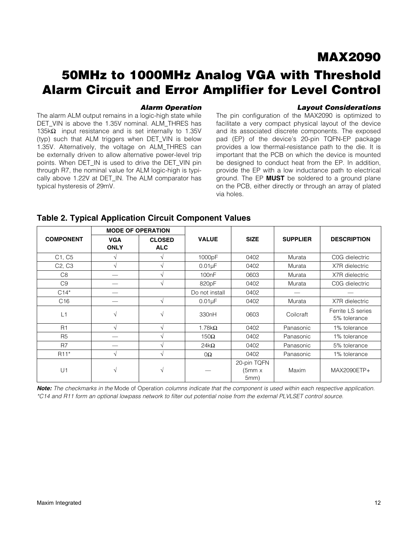## 50MHz to 1000MHz Analog VGA with Threshold Alarm Circuit and Error Amplifier for Level Control

#### *Alarm Operation*

*Layout Considerations*

The alarm ALM output remains in a logic-high state while DET\_VIN is above the 1.35V nominal. ALM\_THRES has 135 $k\Omega$  input resistance and is set internally to 1.35V (typ) such that ALM triggers when DET\_VIN is below 1.35V. Alternatively, the voltage on ALM\_THRES can be externally driven to allow alternative power-level trip points. When DET IN is used to drive the DET VIN pin through R7, the nominal value for ALM logic-high is typically above 1.22V at DET\_IN. The ALM comparator has typical hysteresis of 29mV.

The pin configuration of the MAX2090 is optimized to facilitate a very compact physical layout of the device and its associated discrete components. The exposed pad (EP) of the device's 20-pin TQFN-EP package provides a low thermal-resistance path to the die. It is important that the PCB on which the device is mounted be designed to conduct heat from the EP. In addition, provide the EP with a low inductance path to electrical ground. The EP MUST be soldered to a ground plane on the PCB, either directly or through an array of plated via holes.

|                                 | <b>MODE OF OPERATION</b>  |                             |                   |                                |                 |                                   |
|---------------------------------|---------------------------|-----------------------------|-------------------|--------------------------------|-----------------|-----------------------------------|
| <b>COMPONENT</b>                | <b>VGA</b><br><b>ONLY</b> | <b>CLOSED</b><br><b>ALC</b> | <b>VALUE</b>      | <b>SIZE</b>                    | <b>SUPPLIER</b> | <b>DESCRIPTION</b>                |
| C1, C5                          | V                         |                             | 1000pF            | 0402                           | Murata          | C0G dielectric                    |
| C <sub>2</sub> , C <sub>3</sub> | V                         |                             | $0.01\mu F$       | 0402                           | Murata          | X7R dielectric                    |
| C8                              |                           |                             | 100nF             | 0603                           | Murata          | X7R dielectric                    |
| C <sub>9</sub>                  |                           |                             | 820pF             | 0402                           | Murata          | C0G dielectric                    |
| $C14*$                          |                           |                             | Do not install    | 0402                           |                 |                                   |
| C <sub>16</sub>                 |                           | $\sqrt{ }$                  | $0.01\mu F$       | 0402                           | Murata          | X7R dielectric                    |
| L1                              | V                         | V                           | 330 <sub>nH</sub> | 0603                           | Coilcraft       | Ferrite LS series<br>5% tolerance |
| R1                              | V                         | N                           | 1.78 $k\Omega$    | 0402                           | Panasonic       | 1% tolerance                      |
| R <sub>5</sub>                  |                           |                             | $150\Omega$       | 0402                           | Panasonic       | 1% tolerance                      |
| R <sub>7</sub>                  |                           |                             | $24k\Omega$       | 0402                           | Panasonic       | 5% tolerance                      |
| R <sub>11</sub> *               | V                         | V                           | $0\Omega$         | 0402                           | Panasonic       | 1% tolerance                      |
| U1                              | V                         | $\mathcal{N}$               |                   | 20-pin TQFN<br>(5mm x)<br>5mm) | Maxim           | MAX2090ETP+                       |

#### Table 2. Typical Application Circuit Component Values

*Note: The checkmarks in the* Mode of Operation *columns indicate that the component is used within each respective application. \*C14 and R11 form an optional lowpass network to filter out potential noise from the external PLVLSET control source.*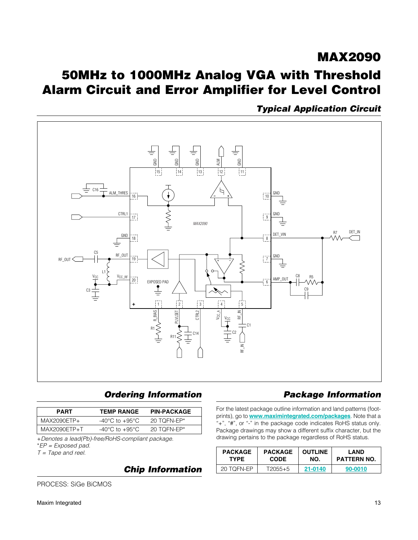## <span id="page-12-0"></span>MAX2090 50MHz to 1000MHz Analog VGA with Threshold Alarm Circuit and Error Amplifier for Level Control

<span id="page-12-1"></span>*Typical Application Circuit*



### *Ordering Information Package Information*

| <b>PART</b>  | <b>TEMP RANGE</b>                  | <b>PIN-PACKAGE</b> |
|--------------|------------------------------------|--------------------|
| MAX2090ETP+  | $-40^{\circ}$ C to $+95^{\circ}$ C | $20$ TOFN-EP*      |
| MAX2090ETP+T | -40°C to +95°C                     | 20 TOFN-EP $*$     |

+*Denotes a lead(Pb)-free/RoHS-compliant package.* \**EP = Exposed pad.*

*T = Tape and reel.*

*Chip Information*

PROCESS: SiGe BiCMOS

For the latest package outline information and land patterns (footprints), go to **[www.maximintegrated.com/packages](http://www.maximintegrated.com/packages)**. Note that a "+", "#", or "-" in the package code indicates RoHS status only. Package drawings may show a different suffix character, but the drawing pertains to the package regardless of RoHS status.

| <b>PACKAGE</b><br><b>TYPE</b> | <b>PACKAGE</b><br><b>OUTLINE</b><br>NO.<br><b>CODE</b> |         | I AND<br><b>PATTERN NO.</b> |
|-------------------------------|--------------------------------------------------------|---------|-----------------------------|
| 20 TQFN-EP                    | T2055+5                                                | 21-0140 | 90-0010                     |